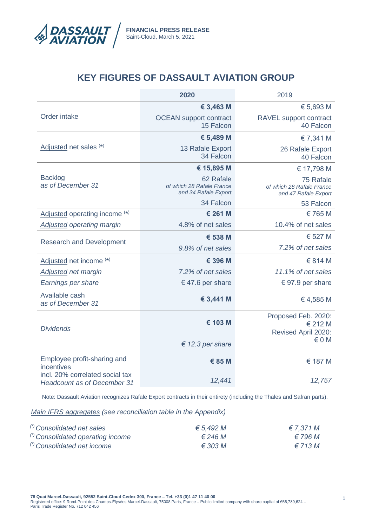

# **KEY FIGURES OF DASSAULT AVIATION GROUP**

|                                                                       | 2020                                                           | 2019                                                           |
|-----------------------------------------------------------------------|----------------------------------------------------------------|----------------------------------------------------------------|
|                                                                       | € 3,463 M                                                      | € 5,693 M                                                      |
| Order intake                                                          | <b>OCEAN</b> support contract<br>15 Falcon                     | RAVEL support contract<br>40 Falcon                            |
|                                                                       | € 5,489 M                                                      | € 7,341 M                                                      |
| Adjusted net sales (*)                                                | 13 Rafale Export<br>34 Falcon                                  | 26 Rafale Export<br>40 Falcon                                  |
|                                                                       | € 15,895 M                                                     | € 17,798 M                                                     |
| <b>Backlog</b><br>as of December 31                                   | 62 Rafale<br>of which 28 Rafale France<br>and 34 Rafale Export | 75 Rafale<br>of which 28 Rafale France<br>and 47 Rafale Export |
|                                                                       | 34 Falcon                                                      | 53 Falcon                                                      |
| Adjusted operating income (*)                                         | € 261 M                                                        | € 765 M                                                        |
| <b>Adjusted operating margin</b>                                      | 4.8% of net sales                                              | 10.4% of net sales                                             |
| <b>Research and Development</b>                                       | € 538 M                                                        | € 527 M                                                        |
|                                                                       | 9.8% of net sales                                              | 7.2% of net sales                                              |
| Adjusted net income (*)                                               | € 396 M                                                        | € 814 M                                                        |
| <b>Adjusted net margin</b>                                            | 7.2% of net sales                                              | 11.1% of net sales                                             |
| Earnings per share                                                    | € 47.6 per share                                               | € 97.9 per share                                               |
| Available cash<br>as of December 31                                   | € 3,441 M                                                      | € 4,585 M                                                      |
| <b>Dividends</b>                                                      | € 103 M                                                        | Proposed Feb. 2020:<br>€ 212 M<br>Revised April 2020:          |
|                                                                       | $\epsilon$ 12.3 per share                                      | $\epsilon$ 0 M                                                 |
| Employee profit-sharing and<br>incentives                             | € 85 M                                                         | € 187 M                                                        |
| incl. 20% correlated social tax<br><b>Headcount as of December 31</b> | 12,441                                                         | 12,757                                                         |

Note: Dassault Aviation recognizes Rafale Export contracts in their entirety (including the Thales and Safran parts).

#### *Main IFRS aggregates (see reconciliation table in the Appendix)*

| (*) Consolidated net sales        | € 5.492 M        | $\epsilon$ 7.371 M |
|-----------------------------------|------------------|--------------------|
| (*) Consolidated operating income | $\epsilon$ 246 M | € 796 M            |
| (*) Consolidated net income       | $\epsilon$ 303 M | $\epsilon$ 713 M   |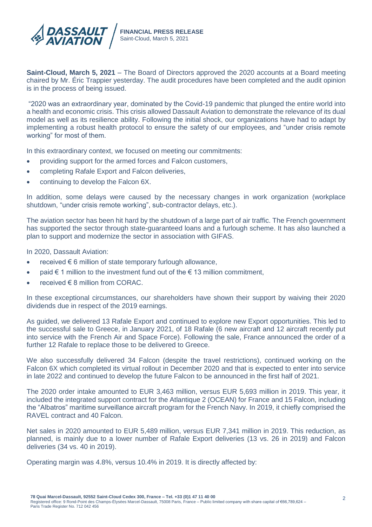

**Saint-Cloud, March 5, 2021** – The Board of Directors approved the 2020 accounts at a Board meeting chaired by Mr. Éric Trappier yesterday. The audit procedures have been completed and the audit opinion is in the process of being issued.

"2020 was an extraordinary year, dominated by the Covid-19 pandemic that plunged the entire world into a health and economic crisis. This crisis allowed Dassault Aviation to demonstrate the relevance of its dual model as well as its resilience ability. Following the initial shock, our organizations have had to adapt by implementing a robust health protocol to ensure the safety of our employees, and "under crisis remote working" for most of them.

In this extraordinary context, we focused on meeting our commitments:

- providing support for the armed forces and Falcon customers,
- completing Rafale Export and Falcon deliveries,
- continuing to develop the Falcon 6X.

In addition, some delays were caused by the necessary changes in work organization (workplace shutdown, "under crisis remote working", sub-contractor delays, etc.).

The aviation sector has been hit hard by the shutdown of a large part of air traffic. The French government has supported the sector through state-guaranteed loans and a furlough scheme. It has also launched a plan to support and modernize the sector in association with GIFAS.

In 2020, Dassault Aviation:

- received  $\epsilon$  6 million of state temporary furlough allowance,
- paid  $€ 1$  million to the investment fund out of the  $€ 13$  million commitment,
- received € 8 million from CORAC.

In these exceptional circumstances, our shareholders have shown their support by waiving their 2020 dividends due in respect of the 2019 earnings.

As guided, we delivered 13 Rafale Export and continued to explore new Export opportunities. This led to the successful sale to Greece, in January 2021, of 18 Rafale (6 new aircraft and 12 aircraft recently put into service with the French Air and Space Force). Following the sale, France announced the order of a further 12 Rafale to replace those to be delivered to Greece.

We also successfully delivered 34 Falcon (despite the travel restrictions), continued working on the Falcon 6X which completed its virtual rollout in December 2020 and that is expected to enter into service in late 2022 and continued to develop the future Falcon to be announced in the first half of 2021.

The 2020 order intake amounted to EUR 3,463 million, versus EUR 5,693 million in 2019. This year, it included the integrated support contract for the Atlantique 2 (OCEAN) for France and 15 Falcon, including the "Albatros" maritime surveillance aircraft program for the French Navy. In 2019, it chiefly comprised the RAVEL contract and 40 Falcon.

Net sales in 2020 amounted to EUR 5,489 million, versus EUR 7,341 million in 2019. This reduction, as planned, is mainly due to a lower number of Rafale Export deliveries (13 vs. 26 in 2019) and Falcon deliveries (34 vs. 40 in 2019).

Operating margin was 4.8%, versus 10.4% in 2019. It is directly affected by: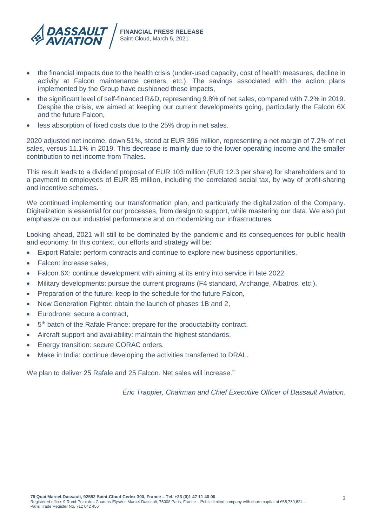

- the financial impacts due to the health crisis (under-used capacity, cost of health measures, decline in activity at Falcon maintenance centers, etc.). The savings associated with the action plans implemented by the Group have cushioned these impacts,
- the significant level of self-financed R&D, representing 9.8% of net sales, compared with 7.2% in 2019. Despite the crisis, we aimed at keeping our current developments going, particularly the Falcon 6X and the future Falcon,
- less absorption of fixed costs due to the 25% drop in net sales.

2020 adjusted net income, down 51%, stood at EUR 396 million, representing a net margin of 7.2% of net sales, versus 11.1% in 2019. This decrease is mainly due to the lower operating income and the smaller contribution to net income from Thales.

This result leads to a dividend proposal of EUR 103 million (EUR 12.3 per share) for shareholders and to a payment to employees of EUR 85 million, including the correlated social tax, by way of profit-sharing and incentive schemes.

We continued implementing our transformation plan, and particularly the digitalization of the Company. Digitalization is essential for our processes, from design to support, while mastering our data. We also put emphasize on our industrial performance and on modernizing our infrastructures.

Looking ahead, 2021 will still to be dominated by the pandemic and its consequences for public health and economy. In this context, our efforts and strategy will be:

- Export Rafale: perform contracts and continue to explore new business opportunities,
- Falcon: increase sales,
- Falcon 6X: continue development with aiming at its entry into service in late 2022,
- Military developments: pursue the current programs (F4 standard, Archange, Albatros, etc.),
- Preparation of the future: keep to the schedule for the future Falcon,
- New Generation Fighter: obtain the launch of phases 1B and 2,
- Eurodrone: secure a contract,
- 5<sup>th</sup> batch of the Rafale France: prepare for the productability contract,
- Aircraft support and availability: maintain the highest standards,
- Energy transition: secure CORAC orders,
- Make in India: continue developing the activities transferred to DRAL.

We plan to deliver 25 Rafale and 25 Falcon. Net sales will increase."

*Éric Trappier, Chairman and Chief Executive Officer of Dassault Aviation.*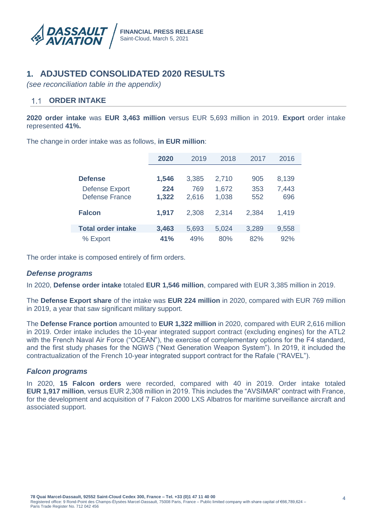

# **1. ADJUSTED CONSOLIDATED 2020 RESULTS**

*(see reconciliation table in the appendix)*

#### $1.1$ **ORDER INTAKE**

**2020 order intake** was **EUR 3,463 million** versus EUR 5,693 million in 2019. **Export** order intake represented **41%.**

The change in order intake was as follows, **in EUR million**:

|                           | 2020  | 2019<br>2018 |       | 2017  | 2016  |
|---------------------------|-------|--------------|-------|-------|-------|
|                           |       |              |       |       |       |
| <b>Defense</b>            | 1,546 | 3,385        | 2,710 | 905   | 8,139 |
| <b>Defense Export</b>     | 224   | 769          | 1,672 | 353   | 7,443 |
| <b>Defense France</b>     | 1,322 | 2,616        | 1,038 | 552   | 696   |
| <b>Falcon</b>             | 1,917 | 2,308        | 2,314 | 2,384 | 1,419 |
| <b>Total order intake</b> | 3,463 | 5.693        | 5,024 | 3,289 | 9,558 |
| % Export                  | 41%   | 49%          | 80%   | 82%   | 92%   |

The order intake is composed entirely of firm orders.

### *Defense programs*

In 2020, **Defense order intake** totaled **EUR 1,546 million**, compared with EUR 3,385 million in 2019.

The **Defense Export share** of the intake was **EUR 224 million** in 2020, compared with EUR 769 million in 2019, a year that saw significant military support.

The **Defense France portion** amounted to **EUR 1,322 million** in 2020, compared with EUR 2,616 million in 2019. Order intake includes the 10-year integrated support contract (excluding engines) for the ATL2 with the French Naval Air Force ("OCEAN"), the exercise of complementary options for the F4 standard, and the first study phases for the NGWS ("Next Generation Weapon System"). In 2019, it included the contractualization of the French 10-year integrated support contract for the Rafale ("RAVEL").

### *Falcon programs*

In 2020, **15 Falcon orders** were recorded, compared with 40 in 2019. Order intake totaled **EUR 1,917 million**, versus EUR 2,308 million in 2019. This includes the "AVSIMAR" contract with France, for the development and acquisition of 7 Falcon 2000 LXS Albatros for maritime surveillance aircraft and associated support.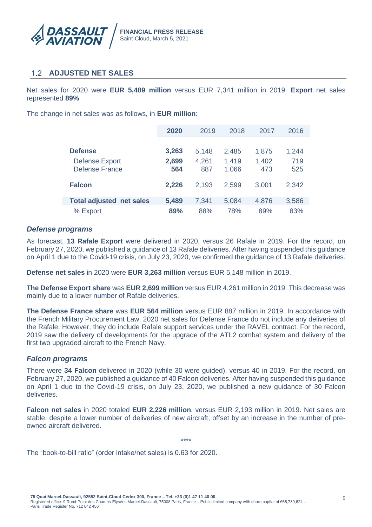

### **ADJUSTED NET SALES**

Net sales for 2020 were **EUR 5,489 million** versus EUR 7,341 million in 2019. **Export** net sales represented **89%**.

The change in net sales was as follows, in **EUR million**:

|                                 | 2020  | 2019  | 2018  | 2017  | 2016  |
|---------------------------------|-------|-------|-------|-------|-------|
|                                 |       |       |       |       |       |
| <b>Defense</b>                  | 3,263 | 5,148 | 2,485 | 1,875 | 1,244 |
| <b>Defense Export</b>           | 2,699 | 4,261 | 1,419 | 1,402 | 719   |
| <b>Defense France</b>           | 564   | 887   | 1,066 | 473   | 525   |
| <b>Falcon</b>                   | 2,226 | 2.193 | 2,599 | 3,001 | 2,342 |
|                                 |       |       |       |       |       |
| <b>Total adjusted net sales</b> | 5,489 | 7,341 | 5,084 | 4,876 | 3,586 |
| % Export                        | 89%   | 88%   | 78%   | 89%   | 83%   |

### *Defense programs*

As forecast, **13 Rafale Export** were delivered in 2020, versus 26 Rafale in 2019. For the record, on February 27, 2020, we published a guidance of 13 Rafale deliveries. After having suspended this guidance on April 1 due to the Covid-19 crisis, on July 23, 2020, we confirmed the guidance of 13 Rafale deliveries.

**Defense net sales** in 2020 were **EUR 3,263 million** versus EUR 5,148 million in 2019.

**The Defense Export share** was **EUR 2,699 million** versus EUR 4,261 million in 2019. This decrease was mainly due to a lower number of Rafale deliveries.

**The Defense France share** was **EUR 564 million** versus EUR 887 million in 2019. In accordance with the French Military Procurement Law, 2020 net sales for Defense France do not include any deliveries of the Rafale. However, they do include Rafale support services under the RAVEL contract. For the record, 2019 saw the delivery of developments for the upgrade of the ATL2 combat system and delivery of the first two upgraded aircraft to the French Navy.

### *Falcon programs*

There were **34 Falcon** delivered in 2020 (while 30 were guided), versus 40 in 2019. For the record, on February 27, 2020, we published a guidance of 40 Falcon deliveries. After having suspended this guidance on April 1 due to the Covid-19 crisis, on July 23, 2020, we published a new guidance of 30 Falcon deliveries.

**Falcon net sales** in 2020 totaled **EUR 2,226 million**, versus EUR 2,193 million in 2019. Net sales are stable, despite a lower number of deliveries of new aircraft, offset by an increase in the number of preowned aircraft delivered.

\*\*\*\*

The "book-to-bill ratio" (order intake/net sales) is 0.63 for 2020.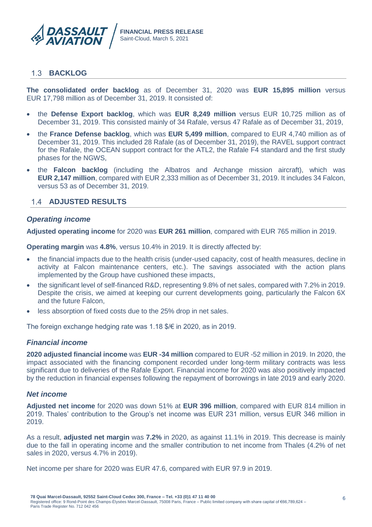

### **BACKLOG**

**The consolidated order backlog** as of December 31, 2020 was **EUR 15,895 million** versus EUR 17,798 million as of December 31, 2019. It consisted of:

- the **Defense Export backlog**, which was **EUR 8,249 million** versus EUR 10,725 million as of December 31, 2019. This consisted mainly of 34 Rafale, versus 47 Rafale as of December 31, 2019,
- the **France Defense backlog**, which was **EUR 5,499 million**, compared to EUR 4,740 million as of December 31, 2019. This included 28 Rafale (as of December 31, 2019), the RAVEL support contract for the Rafale, the OCEAN support contract for the ATL2, the Rafale F4 standard and the first study phases for the NGWS,
- the **Falcon backlog** (including the Albatros and Archange mission aircraft), which was **EUR 2,147 million**, compared with EUR 2,333 million as of December 31, 2019. It includes 34 Falcon, versus 53 as of December 31, 2019.

#### **ADJUSTED RESULTS**

#### *Operating income*

**Adjusted operating income** for 2020 was **EUR 261 million**, compared with EUR 765 million in 2019.

**Operating margin** was **4.8%**, versus 10.4% in 2019. It is directly affected by:

- the financial impacts due to the health crisis (under-used capacity, cost of health measures, decline in activity at Falcon maintenance centers, etc.). The savings associated with the action plans implemented by the Group have cushioned these impacts,
- the significant level of self-financed R&D, representing 9.8% of net sales, compared with 7.2% in 2019. Despite the crisis, we aimed at keeping our current developments going, particularly the Falcon 6X and the future Falcon,
- less absorption of fixed costs due to the 25% drop in net sales.

The foreign exchange hedging rate was 1.18 \$/€ in 2020, as in 2019.

#### *Financial income*

**2020 adjusted financial income** was **EUR -34 million** compared to EUR -52 million in 2019. In 2020, the impact associated with the financing component recorded under long-term military contracts was less significant due to deliveries of the Rafale Export. Financial income for 2020 was also positively impacted by the reduction in financial expenses following the repayment of borrowings in late 2019 and early 2020.

#### *Net income*

**Adjusted net income** for 2020 was down 51% at **EUR 396 million**, compared with EUR 814 million in 2019. Thales' contribution to the Group's net income was EUR 231 million, versus EUR 346 million in 2019.

As a result, **adjusted net margin** was **7.2%** in 2020, as against 11.1% in 2019. This decrease is mainly due to the fall in operating income and the smaller contribution to net income from Thales (4.2% of net sales in 2020, versus 4.7% in 2019).

Net income per share for 2020 was EUR 47.6, compared with EUR 97.9 in 2019.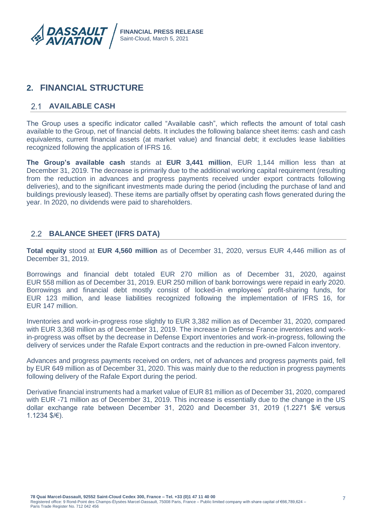

# **2. FINANCIAL STRUCTURE**

### **AVAILABLE CASH**

The Group uses a specific indicator called "Available cash", which reflects the amount of total cash available to the Group, net of financial debts. It includes the following balance sheet items: cash and cash equivalents, current financial assets (at market value) and financial debt; it excludes lease liabilities recognized following the application of IFRS 16.

**The Group's available cash** stands at **EUR 3,441 million**, EUR 1,144 million less than at December 31, 2019. The decrease is primarily due to the additional working capital requirement (resulting from the reduction in advances and progress payments received under export contracts following deliveries), and to the significant investments made during the period (including the purchase of land and buildings previously leased). These items are partially offset by operating cash flows generated during the year. In 2020, no dividends were paid to shareholders.

## **BALANCE SHEET (IFRS DATA)**

**Total equity** stood at **EUR 4,560 million** as of December 31, 2020, versus EUR 4,446 million as of December 31, 2019.

Borrowings and financial debt totaled EUR 270 million as of December 31, 2020, against EUR 558 million as of December 31, 2019. EUR 250 million of bank borrowings were repaid in early 2020. Borrowings and financial debt mostly consist of locked-in employees' profit-sharing funds, for EUR 123 million, and lease liabilities recognized following the implementation of IFRS 16, for EUR 147 million.

Inventories and work-in-progress rose slightly to EUR 3,382 million as of December 31, 2020, compared with EUR 3,368 million as of December 31, 2019. The increase in Defense France inventories and workin-progress was offset by the decrease in Defense Export inventories and work-in-progress, following the delivery of services under the Rafale Export contracts and the reduction in pre-owned Falcon inventory.

Advances and progress payments received on orders, net of advances and progress payments paid, fell by EUR 649 million as of December 31, 2020. This was mainly due to the reduction in progress payments following delivery of the Rafale Export during the period.

Derivative financial instruments had a market value of EUR 81 million as of December 31, 2020, compared with EUR -71 million as of December 31, 2019. This increase is essentially due to the change in the US dollar exchange rate between December 31, 2020 and December 31, 2019 (1.2271 \$/€ versus 1.1234 \$/€).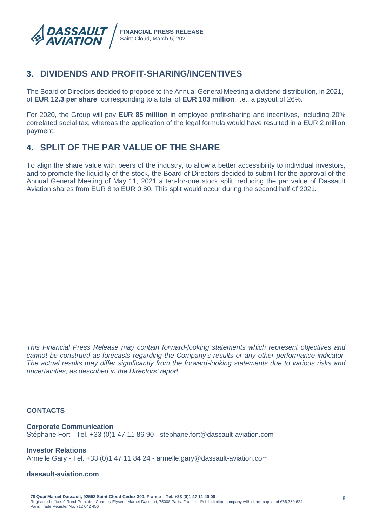

# **3. DIVIDENDS AND PROFIT-SHARING/INCENTIVES**

The Board of Directors decided to propose to the Annual General Meeting a dividend distribution, in 2021, of **EUR 12.3 per share**, corresponding to a total of **EUR 103 million**, i.e., a payout of 26%.

For 2020, the Group will pay **EUR 85 million** in employee profit-sharing and incentives, including 20% correlated social tax, whereas the application of the legal formula would have resulted in a EUR 2 million payment.

# **4. SPLIT OF THE PAR VALUE OF THE SHARE**

To align the share value with peers of the industry, to allow a better accessibility to individual investors, and to promote the liquidity of the stock, the Board of Directors decided to submit for the approval of the Annual General Meeting of May 11, 2021 a ten-for-one stock split, reducing the par value of Dassault Aviation shares from EUR 8 to EUR 0.80. This split would occur during the second half of 2021.

*This Financial Press Release may contain forward-looking statements which represent objectives and cannot be construed as forecasts regarding the Company's results or any other performance indicator. The actual results may differ significantly from the forward-looking statements due to various risks and uncertainties, as described in the Directors' report.*

### **CONTACTS**

**Corporate Communication** Stéphane Fort - Tel. +33 (0)1 47 11 86 90 - stephane.fort@dassault-aviation.com

**Investor Relations** Armelle Gary - Tel. +33 (0)1 47 11 84 24 - armelle.gary@dassault-aviation.com

#### **dassault-aviation.com**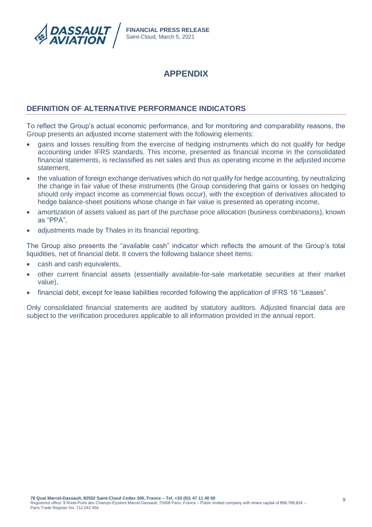

# **APPENDIX**

### **DEFINITION OF ALTERNATIVE PERFORMANCE INDICATORS**

To reflect the Group's actual economic performance, and for monitoring and comparability reasons, the Group presents an adjusted income statement with the following elements:

- gains and losses resulting from the exercise of hedging instruments which do not qualify for hedge accounting under IFRS standards. This income, presented as financial income in the consolidated financial statements, is reclassified as net sales and thus as operating income in the adjusted income statement,
- the valuation of foreign exchange derivatives which do not qualify for hedge accounting, by neutralizing the change in fair value of these instruments (the Group considering that gains or losses on hedging should only impact income as commercial flows occur), with the exception of derivatives allocated to hedge balance-sheet positions whose change in fair value is presented as operating income,
- amortization of assets valued as part of the purchase price allocation (business combinations), known as "PPA",
- adjustments made by Thales in its financial reporting.

The Group also presents the "available cash" indicator which reflects the amount of the Group's total liquidities, net of financial debt. It covers the following balance sheet items:

- cash and cash equivalents,
- other current financial assets (essentially available-for-sale marketable securities at their market value),
- financial debt, except for lease liabilities recorded following the application of IFRS 16 "Leases".

Only consolidated financial statements are audited by statutory auditors. Adjusted financial data are subject to the verification procedures applicable to all information provided in the annual report.